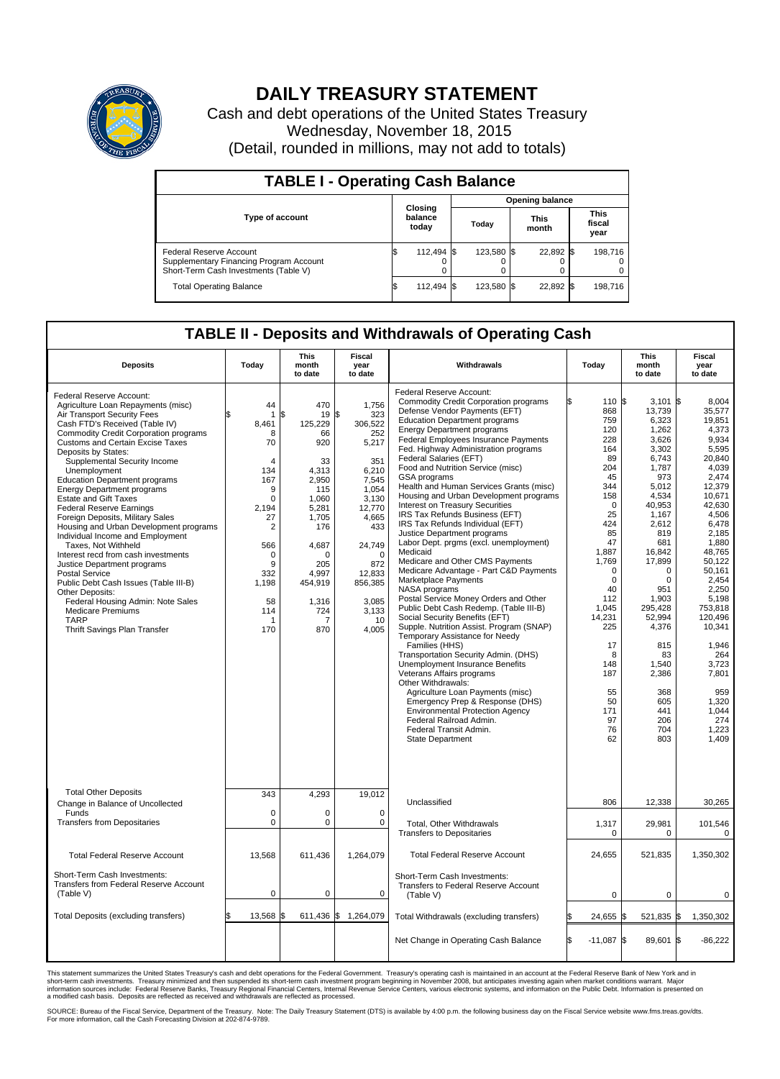

## **DAILY TREASURY STATEMENT**

Cash and debt operations of the United States Treasury Wednesday, November 18, 2015 (Detail, rounded in millions, may not add to totals)

| <b>TABLE I - Operating Cash Balance</b>                                                                     |  |                             |  |                        |  |                      |  |                               |  |  |  |
|-------------------------------------------------------------------------------------------------------------|--|-----------------------------|--|------------------------|--|----------------------|--|-------------------------------|--|--|--|
|                                                                                                             |  |                             |  | <b>Opening balance</b> |  |                      |  |                               |  |  |  |
| <b>Type of account</b>                                                                                      |  | Closing<br>balance<br>today |  | Today                  |  | <b>This</b><br>month |  | <b>This</b><br>fiscal<br>year |  |  |  |
| Federal Reserve Account<br>Supplementary Financing Program Account<br>Short-Term Cash Investments (Table V) |  | 112,494 \$                  |  | 123.580 \$             |  | 22,892 \$            |  | 198.716                       |  |  |  |
| <b>Total Operating Balance</b>                                                                              |  | 112,494 \$                  |  | 123.580 \$             |  | 22,892 \$            |  | 198,716                       |  |  |  |

## **TABLE II - Deposits and Withdrawals of Operating Cash**

| <b>Deposits</b>                                                                                                                                                                                                                                                                                                                                                                                                                                                                                                                                                                                                                                                                                                                                                                                                                                                | Today                                                                                                                                                                                 | <b>This</b><br>month<br>to date                                                                                                                                                      | Fiscal<br>year<br>to date                                                                                                                                                                             | Withdrawals                                                                                                                                                                                                                                                                                                                                                                                                                                                                                                                                                                                                                                                                                                                                                                                                                                                                                                                                                                                                                                                                                                                                                                                                                                                                                                                             | Today                                                                                                                                                                                                                                                             | <b>This</b><br>month<br>to date                                                                                                                                                                                                                                                                                | Fiscal<br>year<br>to date                                                                                                                                                                                                                                                                                                              |
|----------------------------------------------------------------------------------------------------------------------------------------------------------------------------------------------------------------------------------------------------------------------------------------------------------------------------------------------------------------------------------------------------------------------------------------------------------------------------------------------------------------------------------------------------------------------------------------------------------------------------------------------------------------------------------------------------------------------------------------------------------------------------------------------------------------------------------------------------------------|---------------------------------------------------------------------------------------------------------------------------------------------------------------------------------------|--------------------------------------------------------------------------------------------------------------------------------------------------------------------------------------|-------------------------------------------------------------------------------------------------------------------------------------------------------------------------------------------------------|-----------------------------------------------------------------------------------------------------------------------------------------------------------------------------------------------------------------------------------------------------------------------------------------------------------------------------------------------------------------------------------------------------------------------------------------------------------------------------------------------------------------------------------------------------------------------------------------------------------------------------------------------------------------------------------------------------------------------------------------------------------------------------------------------------------------------------------------------------------------------------------------------------------------------------------------------------------------------------------------------------------------------------------------------------------------------------------------------------------------------------------------------------------------------------------------------------------------------------------------------------------------------------------------------------------------------------------------|-------------------------------------------------------------------------------------------------------------------------------------------------------------------------------------------------------------------------------------------------------------------|----------------------------------------------------------------------------------------------------------------------------------------------------------------------------------------------------------------------------------------------------------------------------------------------------------------|----------------------------------------------------------------------------------------------------------------------------------------------------------------------------------------------------------------------------------------------------------------------------------------------------------------------------------------|
| Federal Reserve Account:<br>Agriculture Loan Repayments (misc)<br>Air Transport Security Fees<br>Cash FTD's Received (Table IV)<br>Commodity Credit Corporation programs<br><b>Customs and Certain Excise Taxes</b><br>Deposits by States:<br>Supplemental Security Income<br>Unemployment<br><b>Education Department programs</b><br><b>Energy Department programs</b><br><b>Estate and Gift Taxes</b><br><b>Federal Reserve Earnings</b><br>Foreign Deposits, Military Sales<br>Housing and Urban Development programs<br>Individual Income and Employment<br>Taxes, Not Withheld<br>Interest recd from cash investments<br>Justice Department programs<br><b>Postal Service</b><br>Public Debt Cash Issues (Table III-B)<br>Other Deposits:<br>Federal Housing Admin: Note Sales<br><b>Medicare Premiums</b><br><b>TARP</b><br>Thrift Savings Plan Transfer | 44<br>$\overline{1}$<br>8,461<br>8<br>70<br>$\overline{4}$<br>134<br>167<br>9<br>$\Omega$<br>2,194<br>27<br>$\overline{2}$<br>566<br>0<br>9<br>332<br>1,198<br>58<br>114<br>-1<br>170 | 470<br>\$<br>19<br>125,229<br>66<br>920<br>33<br>4,313<br>2,950<br>115<br>1,060<br>5,281<br>1,705<br>176<br>4,687<br>$\Omega$<br>205<br>4.997<br>454,919<br>1,316<br>724<br>7<br>870 | 1,756<br>\$<br>323<br>306,522<br>252<br>5,217<br>351<br>6,210<br>7,545<br>1,054<br>3,130<br>12,770<br>4,665<br>433<br>24,749<br>$\Omega$<br>872<br>12,833<br>856,385<br>3,085<br>3,133<br>10<br>4,005 | Federal Reserve Account:<br><b>Commodity Credit Corporation programs</b><br>Defense Vendor Payments (EFT)<br><b>Education Department programs</b><br><b>Energy Department programs</b><br><b>Federal Employees Insurance Payments</b><br>Fed. Highway Administration programs<br>Federal Salaries (EFT)<br>Food and Nutrition Service (misc)<br><b>GSA</b> programs<br>Health and Human Services Grants (misc)<br>Housing and Urban Development programs<br>Interest on Treasury Securities<br>IRS Tax Refunds Business (EFT)<br>IRS Tax Refunds Individual (EFT)<br>Justice Department programs<br>Labor Dept. prgms (excl. unemployment)<br>Medicaid<br>Medicare and Other CMS Payments<br>Medicare Advantage - Part C&D Payments<br>Marketplace Payments<br>NASA programs<br>Postal Service Money Orders and Other<br>Public Debt Cash Redemp. (Table III-B)<br>Social Security Benefits (EFT)<br>Supple. Nutrition Assist. Program (SNAP)<br>Temporary Assistance for Needy<br>Families (HHS)<br>Transportation Security Admin. (DHS)<br><b>Unemployment Insurance Benefits</b><br>Veterans Affairs programs<br>Other Withdrawals:<br>Agriculture Loan Payments (misc)<br>Emergency Prep & Response (DHS)<br><b>Environmental Protection Agency</b><br>Federal Railroad Admin.<br>Federal Transit Admin.<br><b>State Department</b> | 110 \$<br>868<br>759<br>120<br>228<br>164<br>89<br>204<br>45<br>344<br>158<br>$\Omega$<br>25<br>424<br>85<br>47<br>1,887<br>1,769<br>$\Omega$<br>$\mathbf 0$<br>40<br>112<br>1,045<br>14.231<br>225<br>17<br>8<br>148<br>187<br>55<br>50<br>171<br>97<br>76<br>62 | 3,101<br>13,739<br>6,323<br>1,262<br>3,626<br>3,302<br>6,743<br>1,787<br>973<br>5,012<br>4,534<br>40,953<br>1.167<br>2,612<br>819<br>681<br>16,842<br>17,899<br>$\Omega$<br>$\mathbf 0$<br>951<br>1,903<br>295,428<br>52,994<br>4,376<br>815<br>83<br>1,540<br>2,386<br>368<br>605<br>441<br>206<br>704<br>803 | I\$<br>8.004<br>35,577<br>19,851<br>4,373<br>9,934<br>5.595<br>20,840<br>4.039<br>2.474<br>12,379<br>10,671<br>42,630<br>4.506<br>6,478<br>2,185<br>1,880<br>48,765<br>50,122<br>50,161<br>2,454<br>2,250<br>5,198<br>753,818<br>120.496<br>10,341<br>1.946<br>264<br>3,723<br>7,801<br>959<br>1,320<br>1.044<br>274<br>1,223<br>1,409 |
| <b>Total Other Deposits</b><br>Change in Balance of Uncollected                                                                                                                                                                                                                                                                                                                                                                                                                                                                                                                                                                                                                                                                                                                                                                                                | 343                                                                                                                                                                                   | 4,293                                                                                                                                                                                | 19,012                                                                                                                                                                                                | Unclassified                                                                                                                                                                                                                                                                                                                                                                                                                                                                                                                                                                                                                                                                                                                                                                                                                                                                                                                                                                                                                                                                                                                                                                                                                                                                                                                            | 806                                                                                                                                                                                                                                                               | 12,338                                                                                                                                                                                                                                                                                                         | 30,265                                                                                                                                                                                                                                                                                                                                 |
| Funds<br><b>Transfers from Depositaries</b>                                                                                                                                                                                                                                                                                                                                                                                                                                                                                                                                                                                                                                                                                                                                                                                                                    | $\mathbf 0$<br>$\mathbf 0$                                                                                                                                                            | $\mathbf 0$<br>$\mathbf 0$                                                                                                                                                           | $\Omega$<br>$\mathbf 0$                                                                                                                                                                               | Total, Other Withdrawals<br><b>Transfers to Depositaries</b>                                                                                                                                                                                                                                                                                                                                                                                                                                                                                                                                                                                                                                                                                                                                                                                                                                                                                                                                                                                                                                                                                                                                                                                                                                                                            | 1,317<br>0                                                                                                                                                                                                                                                        | 29,981<br>$\mathbf 0$                                                                                                                                                                                                                                                                                          | 101,546<br>$\mathbf 0$                                                                                                                                                                                                                                                                                                                 |
| <b>Total Federal Reserve Account</b>                                                                                                                                                                                                                                                                                                                                                                                                                                                                                                                                                                                                                                                                                                                                                                                                                           | 13,568                                                                                                                                                                                | 611,436                                                                                                                                                                              | 1,264,079                                                                                                                                                                                             | <b>Total Federal Reserve Account</b>                                                                                                                                                                                                                                                                                                                                                                                                                                                                                                                                                                                                                                                                                                                                                                                                                                                                                                                                                                                                                                                                                                                                                                                                                                                                                                    | 24,655                                                                                                                                                                                                                                                            | 521,835                                                                                                                                                                                                                                                                                                        | 1,350,302                                                                                                                                                                                                                                                                                                                              |
| Short-Term Cash Investments:<br>Transfers from Federal Reserve Account<br>(Table V)                                                                                                                                                                                                                                                                                                                                                                                                                                                                                                                                                                                                                                                                                                                                                                            | $\mathbf 0$                                                                                                                                                                           | 0                                                                                                                                                                                    | 0                                                                                                                                                                                                     | Short-Term Cash Investments:<br>Transfers to Federal Reserve Account<br>(Table V)                                                                                                                                                                                                                                                                                                                                                                                                                                                                                                                                                                                                                                                                                                                                                                                                                                                                                                                                                                                                                                                                                                                                                                                                                                                       | $\Omega$                                                                                                                                                                                                                                                          | $\Omega$                                                                                                                                                                                                                                                                                                       | $\Omega$                                                                                                                                                                                                                                                                                                                               |
| Total Deposits (excluding transfers)                                                                                                                                                                                                                                                                                                                                                                                                                                                                                                                                                                                                                                                                                                                                                                                                                           | \$<br>13.568                                                                                                                                                                          | 611,436 \$<br>\$                                                                                                                                                                     | 1,264,079                                                                                                                                                                                             | Total Withdrawals (excluding transfers)                                                                                                                                                                                                                                                                                                                                                                                                                                                                                                                                                                                                                                                                                                                                                                                                                                                                                                                                                                                                                                                                                                                                                                                                                                                                                                 | 24,655                                                                                                                                                                                                                                                            | l\$<br>521,835 \$                                                                                                                                                                                                                                                                                              | 1,350,302                                                                                                                                                                                                                                                                                                                              |
|                                                                                                                                                                                                                                                                                                                                                                                                                                                                                                                                                                                                                                                                                                                                                                                                                                                                |                                                                                                                                                                                       |                                                                                                                                                                                      |                                                                                                                                                                                                       | Net Change in Operating Cash Balance                                                                                                                                                                                                                                                                                                                                                                                                                                                                                                                                                                                                                                                                                                                                                                                                                                                                                                                                                                                                                                                                                                                                                                                                                                                                                                    | l\$<br>$-11,087$                                                                                                                                                                                                                                                  | l\$<br>89.601 \$                                                                                                                                                                                                                                                                                               | $-86,222$                                                                                                                                                                                                                                                                                                                              |

This statement summarizes the United States Treasury's cash and debt operations for the Federal Government. Treasury's operating cash is maintained in an account at the Federal Reserve Bank of New York and in<br>short-term ca

SOURCE: Bureau of the Fiscal Service, Department of the Treasury. Note: The Daily Treasury Statement (DTS) is available by 4:00 p.m. the following business day on the Fiscal Service website www.fms.treas.gov/dts.<br>For more